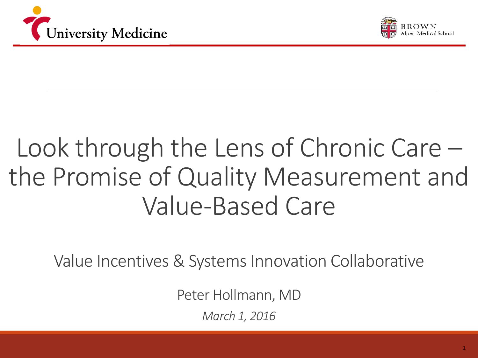



### Look through the Lens of Chronic Care – the Promise of Quality Measurement and Value-Based Care

Value Incentives & Systems Innovation Collaborative

Peter Hollmann, MD

*March 1, 2016*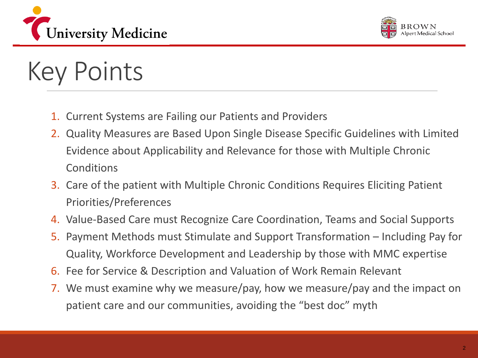



### Key Points

- 1. Current Systems are Failing our Patients and Providers
- 2. Quality Measures are Based Upon Single Disease Specific Guidelines with Limited Evidence about Applicability and Relevance for those with Multiple Chronic Conditions
- 3. Care of the patient with Multiple Chronic Conditions Requires Eliciting Patient Priorities/Preferences
- 4. Value-Based Care must Recognize Care Coordination, Teams and Social Supports
- 5. Payment Methods must Stimulate and Support Transformation Including Pay for Quality, Workforce Development and Leadership by those with MMC expertise
- 6. Fee for Service & Description and Valuation of Work Remain Relevant
- 7. We must examine why we measure/pay, how we measure/pay and the impact on patient care and our communities, avoiding the "best doc" myth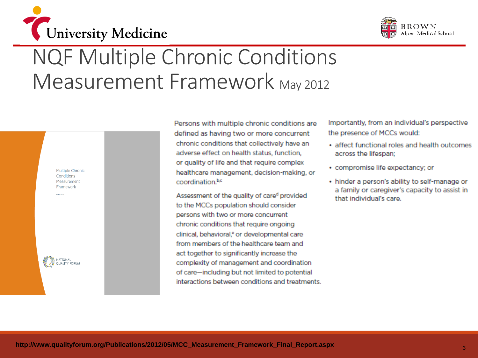



### NQF Multiple Chronic Conditions Measurement Framework May 2012

Multiple Chronic Conditions Measurement Framework

MAY 2012



Persons with multiple chronic conditions are defined as having two or more concurrent chronic conditions that collectively have an adverse effect on health status, function, or quality of life and that require complex healthcare management, decision-making, or coordination.br

Assessment of the quality of cared provided to the MCCs population should consider persons with two or more concurrent chronic conditions that require ongoing clinical, behavioral,<sup>e</sup> or developmental care from members of the healthcare team and act together to significantly increase the complexity of management and coordination of care-including but not limited to potential interactions between conditions and treatments.

Importantly, from an individual's perspective the presence of MCCs would:

- affect functional roles and health outcomes. across the lifespan;
- compromise life expectancy; or
- hinder a person's ability to self-manage or a family or caregiver's capacity to assist in that individual's care.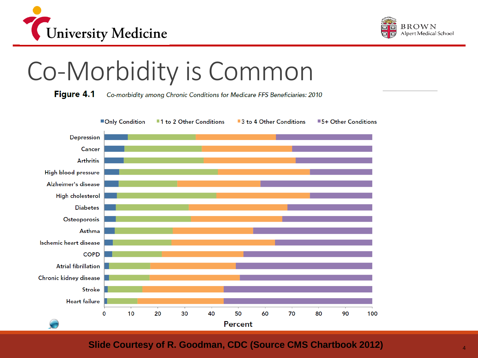



### Co-Morbidity is Common

**Figure 4.1** Co-morbidity among Chronic Conditions for Medicare FFS Beneficiaries: 2010



#### **Slide Courtesy of R. Goodman, CDC (Source CMS Chartbook 2012)**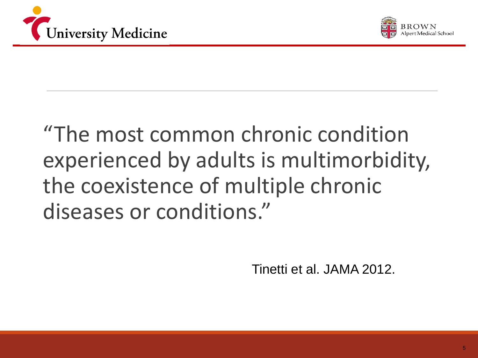



### "The most common chronic condition experienced by adults is multimorbidity, the coexistence of multiple chronic diseases or conditions."

Tinetti et al. JAMA 2012.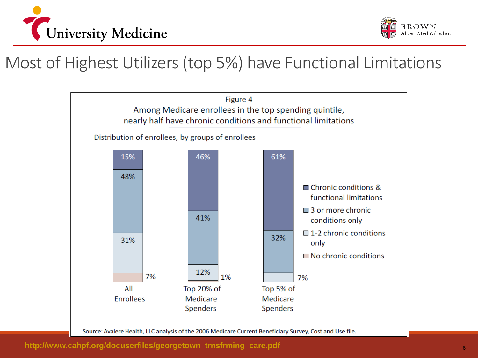



### Most of Highest Utilizers (top 5%) have Functional Limitations

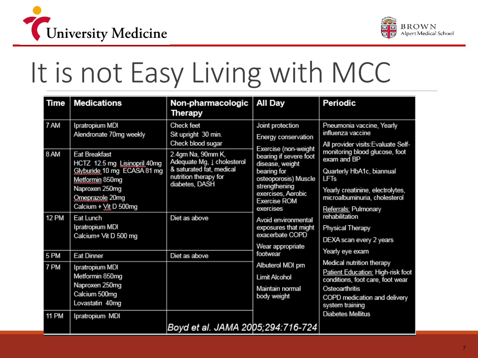



### It is not Easy Living with MCC

| Time                 | <b>Medications</b>                                                                                                                                                   | Non-pharmacologic<br>Therapy                                                                                                      | All Day                                                                                                                                                                                                                                                                                                                                                                                                                                                                                                                                                                                                                                                                                                                                                                           | Periodic                                                                                              |
|----------------------|----------------------------------------------------------------------------------------------------------------------------------------------------------------------|-----------------------------------------------------------------------------------------------------------------------------------|-----------------------------------------------------------------------------------------------------------------------------------------------------------------------------------------------------------------------------------------------------------------------------------------------------------------------------------------------------------------------------------------------------------------------------------------------------------------------------------------------------------------------------------------------------------------------------------------------------------------------------------------------------------------------------------------------------------------------------------------------------------------------------------|-------------------------------------------------------------------------------------------------------|
| 7 AM                 | Ipratropium MDI<br>Alendronate 70mg weekly                                                                                                                           | Check feet<br>Sit upright 30 min.<br>Check blood sugar                                                                            | Joint protection<br>Pneumonia vaccine, Yearly<br>influenza vaccine<br>Energy conservation<br>Exercise (non-weight<br>bearing if severe foot<br>exam and BP<br>disease, weight<br>bearing for<br>Quarterly HbA1c, biannual<br>osteoporosis) Muscle<br><b>LFT<sub>s</sub></b><br>strengthening<br>exercises, Aerobic<br>microalbuminuria, cholesterol<br><b>Exercise ROM</b><br>exercises<br>Referrals: Pulmonary<br>rehabilitation<br>Avoid environmental<br>exposures that might<br>Physical Therapy<br>exacerbate COPD<br>DEXA scan every 2 years<br>Wear appropriate<br>Yearly eye exam<br>footwear<br>Medical nutrition therapy<br>Albuterol MDI pm<br><b>Limit Alcohol</b><br>Maintain normal<br>Osteoarthritis<br>body weight<br>system training<br><b>Diabetes Mellitus</b> | All provider visits: Evaluate Self-                                                                   |
| 8 AM                 | <b>Eat Breakfast</b><br>HCTZ 12.5 mg Lisinopril 40mg<br>Glyburide 10 mg ECASA 81 mg<br>Metformin 850mg<br>Naproxen 250mg<br>Omeprazole 20mg<br>Calcium + Vit D 500mg | 2.4gm Na, 90mm K,<br>Adequate Mg, $\downarrow$ cholesterol<br>& saturated fat, medical<br>nutrition therapy for<br>diabetes, DASH |                                                                                                                                                                                                                                                                                                                                                                                                                                                                                                                                                                                                                                                                                                                                                                                   | monitoring blood glucose, foot<br>Yearly creatinine, electrolytes,                                    |
| <b>12 PM</b>         | Eat Lunch<br>Ipratropium MDI<br>Calcium+ Vit D 500 mg                                                                                                                | Diet as above                                                                                                                     |                                                                                                                                                                                                                                                                                                                                                                                                                                                                                                                                                                                                                                                                                                                                                                                   |                                                                                                       |
| 5 PM                 | <b>Eat Dinner</b>                                                                                                                                                    | Diet as above                                                                                                                     |                                                                                                                                                                                                                                                                                                                                                                                                                                                                                                                                                                                                                                                                                                                                                                                   |                                                                                                       |
| 7 PM<br><b>11 PM</b> | Ipratropium MDI<br>Metformin 850mg<br>Naproxen 250mg<br>Calcium 500mg<br>Lovastatin 40mg<br>Ipratropium MDI                                                          |                                                                                                                                   |                                                                                                                                                                                                                                                                                                                                                                                                                                                                                                                                                                                                                                                                                                                                                                                   | Patient Education: High-risk foot<br>conditions, foot care, foot wear<br>COPD medication and delivery |
|                      |                                                                                                                                                                      | Boyd et al. JAMA 2005;294:716-724                                                                                                 |                                                                                                                                                                                                                                                                                                                                                                                                                                                                                                                                                                                                                                                                                                                                                                                   |                                                                                                       |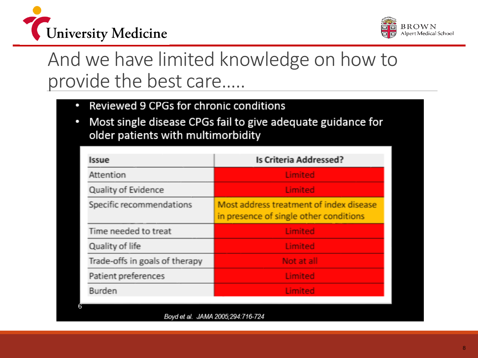



### And we have limited knowledge on how to provide the best care…..

- Reviewed 9 CPGs for chronic conditions
- Most single disease CPGs fail to give adequate guidance for older patients with multimorbidity

| <b>Issue</b>                   | <b>Is Criteria Addressed?</b>                                                     |  |  |
|--------------------------------|-----------------------------------------------------------------------------------|--|--|
| Attention                      | <b>Limited</b>                                                                    |  |  |
| Quality of Evidence            | Limited                                                                           |  |  |
| Specific recommendations       | Most address treatment of index disease<br>in presence of single other conditions |  |  |
| Time needed to treat           | Limited                                                                           |  |  |
| Quality of life                | Limited                                                                           |  |  |
| Trade-offs in goals of therapy | Not at all                                                                        |  |  |
| Patient preferences            | Limited                                                                           |  |  |
| <b>Burden</b>                  | Limited                                                                           |  |  |
|                                |                                                                                   |  |  |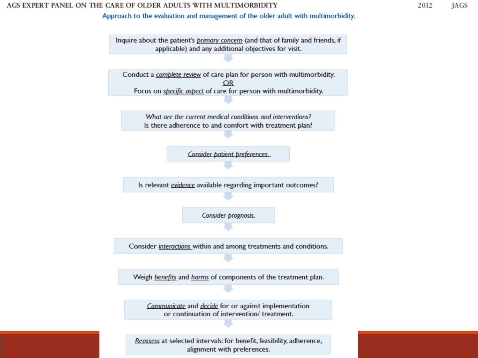#### AGS EXPERT PANEL ON THE CARE OF OLDER ADULTS WITH MULTIMORBIDITY

Approach to the evaluation and management of the older adult with multimorbidity.



alignment with preferences.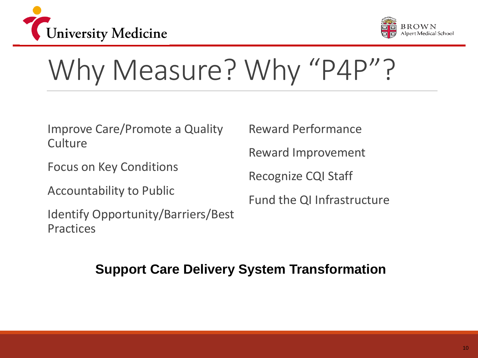



## Why Measure? Why "P4P"?

Improve Care/Promote a Quality **Culture** 

Focus on Key Conditions

Accountability to Public

Identify Opportunity/Barriers/Best Practices

Reward Performance

Reward Improvement

Recognize CQI Staff

Fund the QI Infrastructure

#### **Support Care Delivery System Transformation**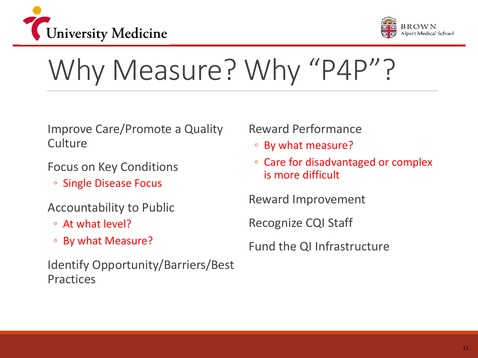



## Why Measure? Why "P4P"?

Improve Care/Promote a Quality **Culture** 

Focus on Key Conditions

◦ Single Disease Focus

#### Accountability to Public

- At what level?
- By what Measure?

Identify Opportunity/Barriers/Best Practices

#### Reward Performance

- By what measure?
- Care for disadvantaged or complex is more difficult

Reward Improvement

Recognize CQI Staff

Fund the QI Infrastructure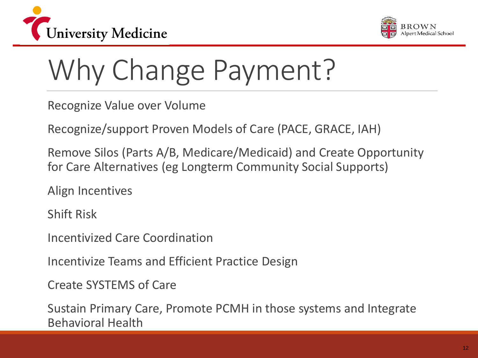



# Why Change Payment?

Recognize Value over Volume

Recognize/support Proven Models of Care (PACE, GRACE, IAH)

Remove Silos (Parts A/B, Medicare/Medicaid) and Create Opportunity for Care Alternatives (eg Longterm Community Social Supports)

Align Incentives

Shift Risk

Incentivized Care Coordination

Incentivize Teams and Efficient Practice Design

Create SYSTEMS of Care

Sustain Primary Care, Promote PCMH in those systems and Integrate Behavioral Health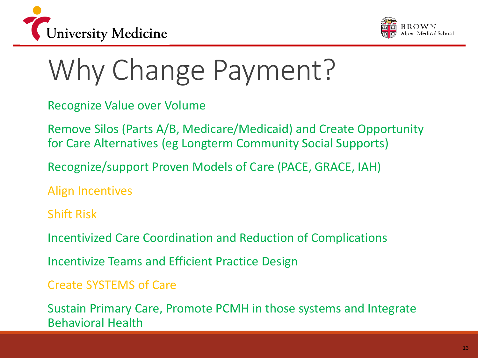



# Why Change Payment?

Recognize Value over Volume

Remove Silos (Parts A/B, Medicare/Medicaid) and Create Opportunity for Care Alternatives (eg Longterm Community Social Supports)

Recognize/support Proven Models of Care (PACE, GRACE, IAH)

Align Incentives

Shift Risk

Incentivized Care Coordination and Reduction of Complications

Incentivize Teams and Efficient Practice Design

Create SYSTEMS of Care

Sustain Primary Care, Promote PCMH in those systems and Integrate Behavioral Health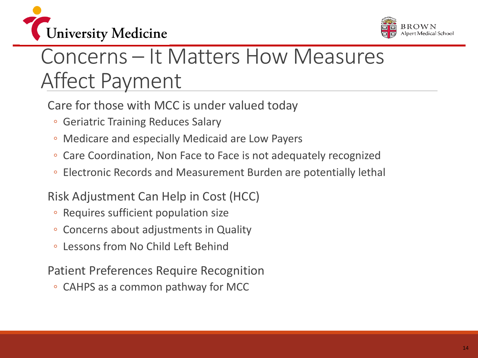



### Concerns – It Matters How Measures Affect Payment

Care for those with MCC is under valued today

- Geriatric Training Reduces Salary
- Medicare and especially Medicaid are Low Payers
- Care Coordination, Non Face to Face is not adequately recognized
- Electronic Records and Measurement Burden are potentially lethal

#### Risk Adjustment Can Help in Cost (HCC)

- Requires sufficient population size
- Concerns about adjustments in Quality
- Lessons from No Child Left Behind

#### Patient Preferences Require Recognition

◦ CAHPS as a common pathway for MCC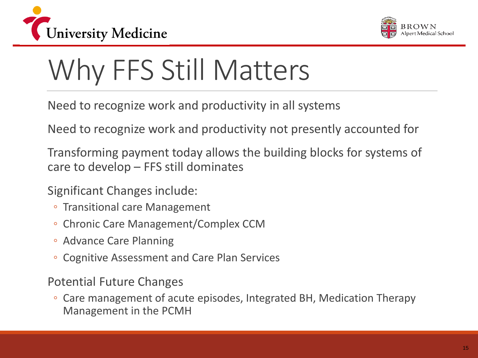



## Why FFS Still Matters

Need to recognize work and productivity in all systems

Need to recognize work and productivity not presently accounted for

Transforming payment today allows the building blocks for systems of care to develop – FFS still dominates

Significant Changes include:

- Transitional care Management
- Chronic Care Management/Complex CCM
- Advance Care Planning
- Cognitive Assessment and Care Plan Services

Potential Future Changes

◦ Care management of acute episodes, Integrated BH, Medication Therapy Management in the PCMH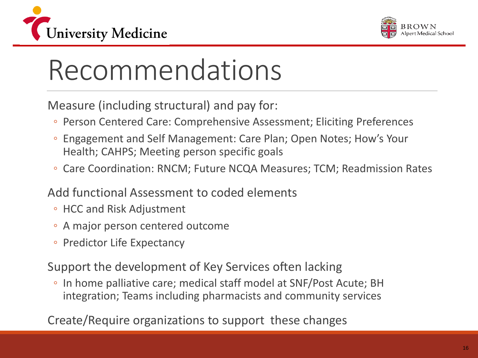



## Recommendations

Measure (including structural) and pay for:

- Person Centered Care: Comprehensive Assessment; Eliciting Preferences
- Engagement and Self Management: Care Plan; Open Notes; How's Your Health; CAHPS; Meeting person specific goals
- Care Coordination: RNCM; Future NCQA Measures; TCM; Readmission Rates

#### Add functional Assessment to coded elements

- HCC and Risk Adjustment
- A major person centered outcome
- Predictor Life Expectancy

Support the development of Key Services often lacking

◦ In home palliative care; medical staff model at SNF/Post Acute; BH integration; Teams including pharmacists and community services

Create/Require organizations to support these changes